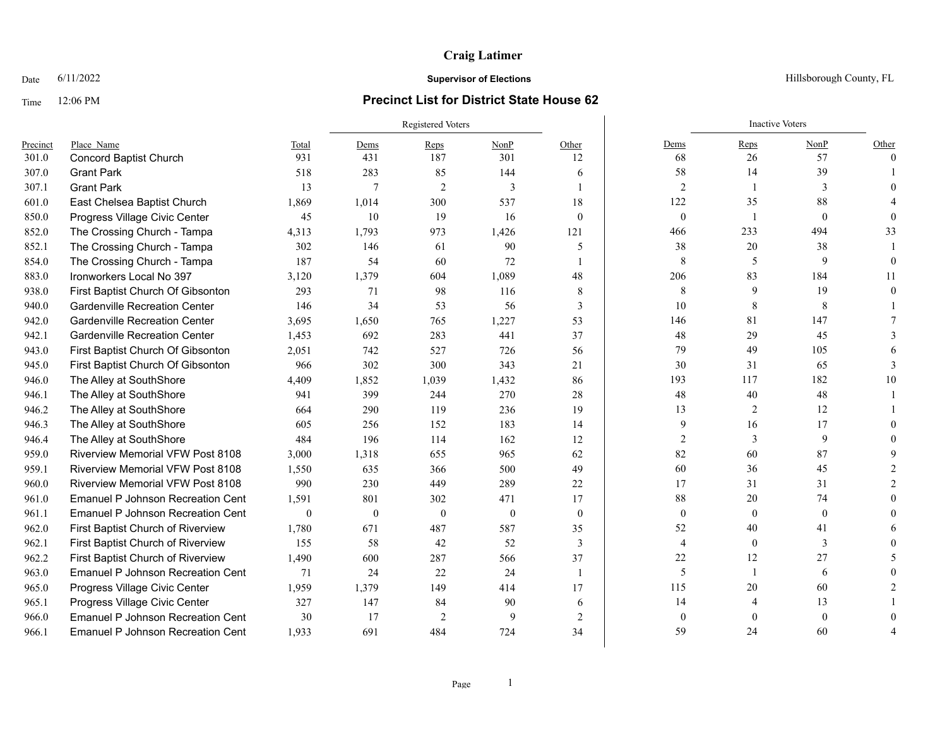# **Craig Latimer**

## Time 12:06 PM **Precinct List for District State House 62**

|          |                                          | <b>Registered Voters</b> |              |                |                |                | <b>Inactive Voters</b> |                  |              |          |
|----------|------------------------------------------|--------------------------|--------------|----------------|----------------|----------------|------------------------|------------------|--------------|----------|
| Precinct | Place Name                               | Total                    | Dems         | Reps           | NonP           | Other          | Dems                   | Reps             | NonP         | Other    |
| 301.0    | <b>Concord Baptist Church</b>            | 931                      | 431          | 187            | 301            | 12             | 68                     | 26               | 57           | $\theta$ |
| 307.0    | <b>Grant Park</b>                        | 518                      | 283          | 85             | 144            | 6              | 58                     | 14               | 39           |          |
| 307.1    | <b>Grant Park</b>                        | 13                       | 7            | 2              | 3              | $\mathbf{1}$   | $\overline{2}$         |                  | 3            |          |
| 601.0    | East Chelsea Baptist Church              | 1,869                    | 1,014        | 300            | 537            | 18             | 122                    | 35               | 88           |          |
| 850.0    | Progress Village Civic Center            | 45                       | 10           | 19             | 16             | $\theta$       | $\mathbf{0}$           | -1               | $\mathbf{0}$ |          |
| 852.0    | The Crossing Church - Tampa              | 4,313                    | 1,793        | 973            | 1,426          | 121            | 466                    | 233              | 494          | 33       |
| 852.1    | The Crossing Church - Tampa              | 302                      | 146          | 61             | 90             | 5              | 38                     | 20               | 38           |          |
| 854.0    | The Crossing Church - Tampa              | 187                      | 54           | 60             | 72             | $\mathbf{1}$   | 8                      | 5                | 9            |          |
| 883.0    | Ironworkers Local No 397                 | 3,120                    | 1,379        | 604            | 1,089          | 48             | 206                    | 83               | 184          | 11       |
| 938.0    | First Baptist Church Of Gibsonton        | 293                      | 71           | 98             | 116            | 8              | 8                      | 9                | 19           |          |
| 940.0    | <b>Gardenville Recreation Center</b>     | 146                      | 34           | 53             | 56             | 3              | 10                     | 8                | 8            |          |
| 942.0    | <b>Gardenville Recreation Center</b>     | 3,695                    | 1,650        | 765            | 1,227          | 53             | 146                    | 81               | 147          |          |
| 942.1    | <b>Gardenville Recreation Center</b>     | 1,453                    | 692          | 283            | 441            | 37             | 48                     | 29               | 45           |          |
| 943.0    | First Baptist Church Of Gibsonton        | 2,051                    | 742          | 527            | 726            | 56             | 79                     | 49               | 105          |          |
| 945.0    | First Baptist Church Of Gibsonton        | 966                      | 302          | 300            | 343            | 21             | 30                     | 31               | 65           |          |
| 946.0    | The Alley at SouthShore                  | 4,409                    | 1,852        | 1,039          | 1,432          | 86             | 193                    | 117              | 182          | 10       |
| 946.1    | The Alley at SouthShore                  | 941                      | 399          | 244            | 270            | 28             | 48                     | 40               | 48           |          |
| 946.2    | The Alley at SouthShore                  | 664                      | 290          | 119            | 236            | 19             | 13                     | 2                | 12           |          |
| 946.3    | The Alley at SouthShore                  | 605                      | 256          | 152            | 183            | 14             | 9                      | 16               | 17           |          |
| 946.4    | The Alley at SouthShore                  | 484                      | 196          | 114            | 162            | 12             | 2                      | 3                | 9            |          |
| 959.0    | <b>Riverview Memorial VFW Post 8108</b>  | 3,000                    | 1,318        | 655            | 965            | 62             | 82                     | 60               | 87           |          |
| 959.1    | <b>Riverview Memorial VFW Post 8108</b>  | 1,550                    | 635          | 366            | 500            | 49             | 60                     | 36               | 45           |          |
| 960.0    | <b>Riverview Memorial VFW Post 8108</b>  | 990                      | 230          | 449            | 289            | 22             | 17                     | 31               | 31           |          |
| 961.0    | <b>Emanuel P Johnson Recreation Cent</b> | 1,591                    | 801          | 302            | 471            | 17             | 88                     | 20               | 74           |          |
| 961.1    | <b>Emanuel P Johnson Recreation Cent</b> | $\boldsymbol{0}$         | $\mathbf{0}$ | $\mathbf{0}$   | $\overline{0}$ | $\mathbf{0}$   | $\mathbf{0}$           | $\boldsymbol{0}$ | $\mathbf{0}$ |          |
| 962.0    | First Baptist Church of Riverview        | 1,780                    | 671          | 487            | 587            | 35             | 52                     | 40               | 41           |          |
| 962.1    | First Baptist Church of Riverview        | 155                      | 58           | 42             | 52             | 3              | $\overline{4}$         | $\mathbf{0}$     | 3            |          |
| 962.2    | First Baptist Church of Riverview        | 1,490                    | 600          | 287            | 566            | 37             | 22                     | 12               | 27           |          |
| 963.0    | <b>Emanuel P Johnson Recreation Cent</b> | 71                       | 24           | 22             | 24             | $\mathbf{1}$   | 5                      | -1               | 6            |          |
| 965.0    | Progress Village Civic Center            | 1,959                    | 1.379        | 149            | 414            | 17             | 115                    | 20               | 60           |          |
| 965.1    | Progress Village Civic Center            | 327                      | 147          | 84             | 90             | 6              | 14                     | $\overline{4}$   | 13           |          |
| 966.0    | <b>Emanuel P Johnson Recreation Cent</b> | 30                       | 17           | $\overline{2}$ | $\mathbf{Q}$   | $\overline{2}$ | $\theta$               | $\theta$         | $\theta$     |          |
| 966.1    | <b>Emanuel P Johnson Recreation Cent</b> | 1.933                    | 691          | 484            | 724            | 34             | 59                     | 24               | 60           |          |

Date  $6/11/2022$  Hillsborough County, FL